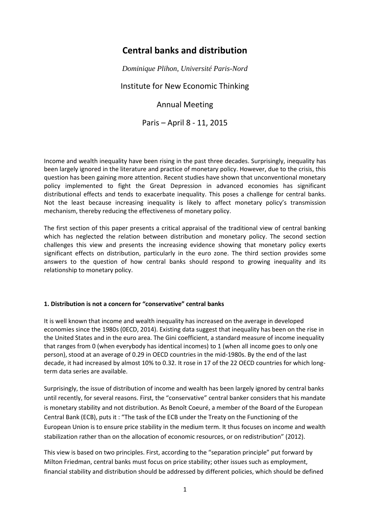# **Central banks and distribution**

*Dominique Plihon, Université Paris-Nord*

Institute for New Economic Thinking

## Annual Meeting

Paris – April 8 - 11, 2015

Income and wealth inequality have been rising in the past three decades. Surprisingly, inequality has been largely ignored in the literature and practice of monetary policy. However, due to the crisis, this question has been gaining more attention. Recent studies have shown that unconventional monetary policy implemented to fight the Great Depression in advanced economies has significant distributional effects and tends to exacerbate inequality. This poses a challenge for central banks. Not the least because increasing inequality is likely to affect monetary policy's transmission mechanism, thereby reducing the effectiveness of monetary policy.

The first section of this paper presents a critical appraisal of the traditional view of central banking which has neglected the relation between distribution and monetary policy. The second section challenges this view and presents the increasing evidence showing that monetary policy exerts significant effects on distribution, particularly in the euro zone. The third section provides some answers to the question of how central banks should respond to growing inequality and its relationship to monetary policy.

## **1. Distribution is not a concern for "conservative" central banks**

It is well known that income and wealth inequality has increased on the average in developed economies since the 1980s (0ECD, 2014). Existing data suggest that inequality has been on the rise in the United States and in the euro area. The Gini coefficient, a standard measure of income inequality that ranges from 0 (when everybody has identical incomes) to 1 (when all income goes to only one person), stood at an average of 0.29 in OECD countries in the mid-1980s. By the end of the last decade, it had increased by almost 10% to 0.32. It rose in 17 of the 22 OECD countries for which longterm data series are available.

Surprisingly, the issue of distribution of income and wealth has been largely ignored by central banks until recently, for several reasons. First, the "conservative" central banker considers that his mandate is monetary stability and not distribution. As Benoît Coeuré, a member of the Board of the European Central Bank (ECB), puts it : "The task of the ECB under the Treaty on the Functioning of the European Union is to ensure price stability in the medium term. It thus focuses on income and wealth stabilization rather than on the allocation of economic resources, or on redistribution" (2012).

This view is based on two principles. First, according to the "separation principle" put forward by Milton Friedman, central banks must focus on price stability; other issues such as employment, financial stability and distribution should be addressed by different policies, which should be defined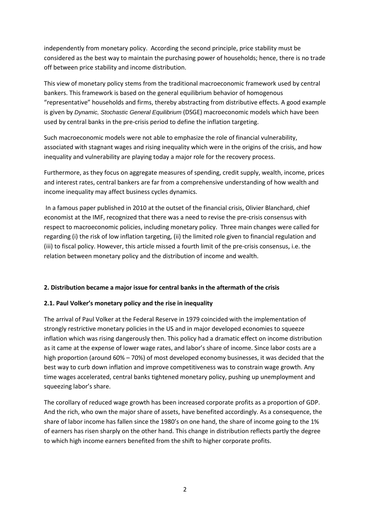independently from monetary policy. According the second principle, price stability must be considered as the best way to maintain the purchasing power of households; hence, there is no trade off between price stability and income distribution.

This view of monetary policy stems from the traditional macroeconomic framework used by central bankers. This framework is based on the general equilibrium behavior of homogenous "representative" households and firms, thereby abstracting from distributive effects. A good example is given by *Dynamic, Stochastic General Equilibrium* (DSGE) macroeconomic models which have been used by central banks in the pre-crisis period to define the inflation targeting.

Such macroeconomic models were not able to emphasize the role of financial vulnerability, associated with stagnant wages and rising inequality which were in the origins of the crisis, and how inequality and vulnerability are playing today a major role for the recovery process.

Furthermore, as they focus on aggregate measures of spending, credit supply, wealth, income, prices and interest rates, central bankers are far from a comprehensive understanding of how wealth and income inequality may affect business cycles dynamics.

In a famous paper published in 2010 at the outset of the financial crisis, Olivier Blanchard, chief economist at the IMF, recognized that there was a need to revise the pre-crisis consensus with respect to macroeconomic policies, including monetary policy. Three main changes were called for regarding (i) the risk of low inflation targeting, (ii) the limited role given to financial regulation and (iii) to fiscal policy. However, this article missed a fourth limit of the pre-crisis consensus, i.e. the relation between monetary policy and the distribution of income and wealth.

## **2. Distribution became a major issue for central banks in the aftermath of the crisis**

## **2.1. Paul Volker's monetary policy and the rise in inequality**

The arrival of Paul Volker at the Federal Reserve in 1979 coincided with the implementation of strongly restrictive monetary policies in the US and in major developed economies to squeeze inflation which was rising dangerously then. This policy had a dramatic effect on income distribution as it came at the expense of lower wage rates, and labor's share of income. Since labor costs are a high proportion (around 60% – 70%) of most developed economy businesses, it was decided that the best way to curb down inflation and improve competitiveness was to constrain wage growth. Any time wages accelerated, central banks tightened monetary policy, pushing up unemployment and squeezing labor's share.

The corollary of reduced wage growth has been increased corporate profits as a proportion of GDP. And the rich, who own the major share of assets, have benefited accordingly. As a consequence, the share of labor income has fallen since the 1980's on one hand, the share of income going to the 1% of earners has risen sharply on the other hand. This change in distribution reflects partly the degree to which high income earners benefited from the shift to higher corporate profits.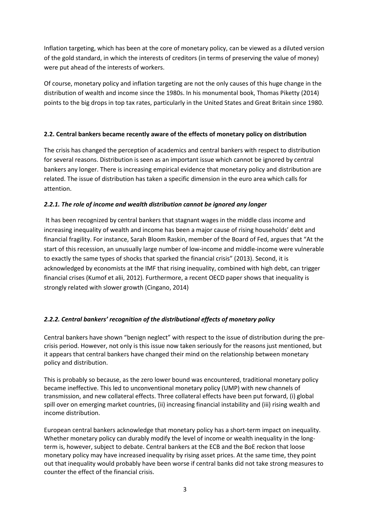Inflation targeting, which has been at the core of monetary policy, can be viewed as a diluted version of the gold standard, in which the interests of creditors (in terms of preserving the value of money) were put ahead of the interests of workers.

Of course, monetary policy and inflation targeting are not the only causes of this huge change in the distribution of wealth and income since the 1980s. In his monumental book, Thomas Piketty (2014) points to the big drops in top tax rates, particularly in the United States and Great Britain since 1980.

## **2.2. Central bankers became recently aware of the effects of monetary policy on distribution**

The crisis has changed the perception of academics and central bankers with respect to distribution for several reasons. Distribution is seen as an important issue which cannot be ignored by central bankers any longer. There is increasing empirical evidence that monetary policy and distribution are related. The issue of distribution has taken a specific dimension in the euro area which calls for attention.

## *2.2.1. The role of income and wealth distribution cannot be ignored any longer*

It has been recognized by central bankers that stagnant wages in the middle class income and increasing inequality of wealth and income has been a major cause of rising households' debt and financial fragility. For instance, Sarah Bloom Raskin, member of the Board of Fed, argues that "At the start of this recession, an unusually large number of low-income and middle-income were vulnerable to exactly the same types of shocks that sparked the financial crisis" (2013). Second, it is acknowledged by economists at the IMF that rising inequality, combined with high debt, can trigger financial crises (Kumof et alii, 2012). Furthermore, a recent OECD paper shows that inequality is strongly related with slower growth (Cingano, 2014)

## *2.2.2. Central bankers' recognition of the distributional effects of monetary policy*

Central bankers have shown "benign neglect" with respect to the issue of distribution during the precrisis period. However, not only is this issue now taken seriously for the reasons just mentioned, but it appears that central bankers have changed their mind on the relationship between monetary policy and distribution.

This is probably so because, as the zero lower bound was encountered, traditional monetary policy became ineffective. This led to unconventional monetary policy (UMP) with new channels of transmission, and new collateral effects. Three collateral effects have been put forward, (i) global spill over on emerging market countries, (ii) increasing financial instability and (iii) rising wealth and income distribution.

European central bankers acknowledge that monetary policy has a short-term impact on inequality. Whether monetary policy can durably modify the level of income or wealth inequality in the longterm is, however, subject to debate. Central bankers at the ECB and the BoE reckon that loose monetary policy may have increased inequality by rising asset prices. At the same time, they point out that inequality would probably have been worse if central banks did not take strong measures to counter the effect of the financial crisis.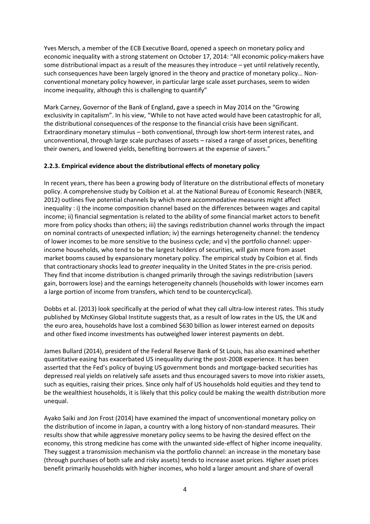Yves Mersch, a member of the ECB Executive Board, opened a speech on monetary policy and economic inequality with a strong statement on October 17, 2014: "All economic policy-makers have some distributional impact as a result of the measures they introduce – yet until relatively recently, such consequences have been largely ignored in the theory and practice of monetary policy… Nonconventional monetary policy however, in particular large scale asset purchases, seem to widen income inequality, although this is challenging to quantify"

Mark Carney, Governor of the Bank of England, gave a speech in May 2014 on the "Growing exclusivity in capitalism". In his view, "While to not have acted would have been catastrophic for all, the distributional consequences of the response to the financial crisis have been significant. Extraordinary monetary stimulus – both conventional, through low short-term interest rates, and unconventional, through large scale purchases of assets – raised a range of asset prices, benefiting their owners, and lowered yields, benefiting borrowers at the expense of savers."

## **2.2.3. Empirical evidence about the distributional effects of monetary policy**

In recent years, there has been a growing body of literature on the distributional effects of monetary policy. A comprehensive study by Coibion et al. at the National Bureau of Economic Research (NBER, 2012) outlines five potential channels by which more accommodative measures might affect inequality : i) the income composition channel based on the differences between wages and capital income; ii) financial segmentation is related to the ability of some financial market actors to benefit more from policy shocks than others; iii) the savings redistribution channel works through the impact on nominal contracts of unexpected inflation; iv) the earnings heterogeneity channel: the tendency of lower incomes to be more sensitive to the business cycle; and v) the portfolio channel: upperincome households, who tend to be the largest holders of securities, will gain more from asset market booms caused by expansionary monetary policy. The empirical study by Coibion et al. finds that contractionary shocks lead to *greater* inequality in the United States in the pre-crisis period. They find that income distribution is changed primarily through the savings redistribution (savers gain, borrowers lose) and the earnings heterogeneity channels (households with lower incomes earn a large portion of income from transfers, which tend to be countercyclical).

Dobbs et al. (2013) look specifically at the period of what they call ultra-low interest rates. This study published by McKinsey Global Institute suggests that, as a result of low rates in the US, the UK and the euro area, households have lost a combined \$630 billion as lower interest earned on deposits and other fixed income investments has outweighed lower interest payments on debt.

James Bullard (2014), president of the Federal Reserve Bank of St Louis, has also examined whether quantitative easing has exacerbated US inequality during the post-2008 experience. It has been asserted that the Fed's policy of buying US government bonds and mortgage-backed securities has depressed real yields on relatively safe assets and thus encouraged savers to move into riskier assets, such as equities, raising their prices. Since only half of US households hold equities and they tend to be the wealthiest households, it is likely that this policy could be making the wealth distribution more unequal.

Ayako Saiki and Jon Frost (2014) have examined the impact of unconventional monetary policy on the distribution of income in Japan, a country with a long history of non-standard measures. Their results show that while aggressive monetary policy seems to be having the desired effect on the economy, this strong medicine has come with the unwanted side-effect of higher income inequality. They suggest a transmission mechanism via the portfolio channel: an increase in the monetary base (through purchases of both safe and risky assets) tends to increase asset prices. Higher asset prices benefit primarily households with higher incomes, who hold a larger amount and share of overall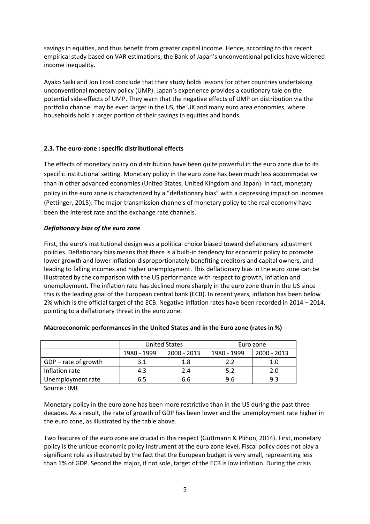savings in equities, and thus benefit from greater capital income. Hence, according to this recent empirical study based on VAR estimations, the Bank of Japan's unconventional policies have widened income inequality.

Ayako Saiki and Jon Frost conclude that their study holds lessons for other countries undertaking unconventional monetary policy (UMP). Japan's experience provides a cautionary tale on the potential side-effects of UMP. They warn that the negative effects of UMP on distribution via the portfolio channel may be even larger in the US, the UK and many euro area economies, where households hold a larger portion of their savings in equities and bonds.

## **2.3. The euro-zone : specific distributional effects**

The effects of monetary policy on distribution have been quite powerful in the euro zone due to its specific institutional setting. Monetary policy in the euro zone has been much less accommodative than in other advanced economies (United States, United Kingdom and Japan). In fact, monetary policy in the euro zone is characterized by a "deflationary bias" with a depressing impact on incomes (Pettinger, 2015). The major transmission channels of monetary policy to the real economy have been the interest rate and the exchange rate channels.

## *Deflationary bias of the euro zone*

First, the euro's institutional design was a political choice biased toward deflationary adjustment policies. Deflationary bias means that there is a built-in tendency for economic policy to promote lower growth and lower inflation disproportionately benefiting creditors and capital owners, and leading to falling incomes and higher unemployment. This deflationary bias in the euro zone can be illustrated by the comparison with the US performance with respect to growth, inflation and unemployment. The inflation rate has declined more sharply in the euro zone than in the US since this is the leading goal of the European central bank (ECB). In recent years, inflation has been below 2% which is the official target of the ECB. Negative inflation rates have been recorded in 2014 – 2014, pointing to a deflationary threat in the euro zone.

|                        | <b>United States</b> |             | Euro zone   |             |
|------------------------|----------------------|-------------|-------------|-------------|
|                        | 1980 - 1999          | 2000 - 2013 | 1980 - 1999 | 2000 - 2013 |
| $GDP - rate$ of growth |                      | 1.8         | 2.2         | 1.0         |
| Inflation rate         | 4.3                  | 2.4         |             | 2.0         |
| Unemployment rate      | 6.5                  | 6.6         | 9.6         | 9.3         |

## **Macroeconomic performances in the United States and in the Euro zone (rates in %)**

Source : IMF

Monetary policy in the euro zone has been more restrictive than in the US during the past three decades. As a result, the rate of growth of GDP has been lower and the unemployment rate higher in the euro zone, as illustrated by the table above.

Two features of the euro zone are crucial in this respect (Guttmann & Plihon, 2014). First, monetary policy is the unique economic policy instrument at the euro zone level. Fiscal policy does not play a significant role as illustrated by the fact that the European budget is very small, representing less than 1% of GDP. Second the major, if not sole, target of the ECB is low inflation. During the crisis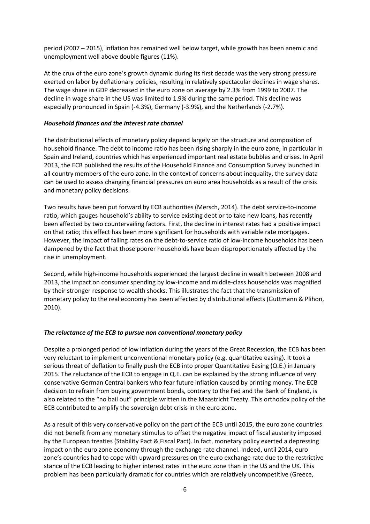period (2007 – 2015), inflation has remained well below target, while growth has been anemic and unemployment well above double figures (11%).

At the crux of the euro zone's growth dynamic during its first decade was the very strong pressure exerted on labor by deflationary policies, resulting in relatively spectacular declines in wage shares. The wage share in GDP decreased in the euro zone on average by 2.3% from 1999 to 2007. The decline in wage share in the US was limited to 1.9% during the same period. This decline was especially pronounced in Spain (-4.3%), Germany (-3.9%), and the Netherlands (-2.7%).

#### *Household finances and the interest rate channel*

The distributional effects of monetary policy depend largely on the structure and composition of household finance. The debt to income ratio has been rising sharply in the euro zone, in particular in Spain and Ireland, countries which has experienced important real estate bubbles and crises. In April 2013, the ECB published the results of the Household Finance and Consumption Survey launched in all country members of the euro zone. In the context of concerns about inequality, the survey data can be used to assess changing financial pressures on euro area households as a result of the crisis and monetary policy decisions.

Two results have been put forward by ECB authorities (Mersch, 2014). The debt service-to-income ratio, which gauges household's ability to service existing debt or to take new loans, has recently been affected by two countervailing factors. First, the decline in interest rates had a positive impact on that ratio; this effect has been more significant for households with variable rate mortgages. However, the impact of falling rates on the debt-to-service ratio of low-income households has been dampened by the fact that those poorer households have been disproportionately affected by the rise in unemployment.

Second, while high-income households experienced the largest decline in wealth between 2008 and 2013, the impact on consumer spending by low-income and middle-class households was magnified by their stronger response to wealth shocks. This illustrates the fact that the transmission of monetary policy to the real economy has been affected by distributional effects (Guttmann & Plihon, 2010).

#### *The reluctance of the ECB to pursue non conventional monetary policy*

Despite a prolonged period of low inflation during the years of the Great Recession, the ECB has been very reluctant to implement unconventional monetary policy (e.g. quantitative easing). It took a serious threat of deflation to finally push the ECB into proper Quantitative Easing (Q.E.) in January 2015. The reluctance of the ECB to engage in Q.E. can be explained by the strong influence of very conservative German Central bankers who fear future inflation caused by printing money. The ECB decision to refrain from buying government bonds, contrary to the Fed and the Bank of England, is also related to the "no bail out" principle written in the Maastricht Treaty. This orthodox policy of the ECB contributed to amplify the sovereign debt crisis in the euro zone.

As a result of this very conservative policy on the part of the ECB until 2015, the euro zone countries did not benefit from any monetary stimulus to offset the negative impact of fiscal austerity imposed by the European treaties (Stability Pact & Fiscal Pact). In fact, monetary policy exerted a depressing impact on the euro zone economy through the exchange rate channel. Indeed, until 2014, euro zone's countries had to cope with upward pressures on the euro exchange rate due to the restrictive stance of the ECB leading to higher interest rates in the euro zone than in the US and the UK. This problem has been particularly dramatic for countries which are relatively uncompetitive (Greece,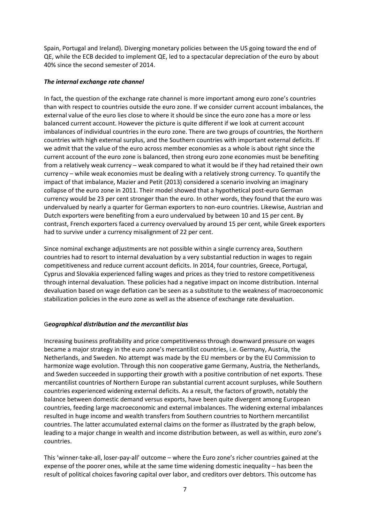Spain, Portugal and Ireland). Diverging monetary policies between the US going toward the end of QE, while the ECB decided to implement QE, led to a spectacular depreciation of the euro by about 40% since the second semester of 2014.

#### *The internal exchange rate channel*

In fact, the question of the exchange rate channel is more important among euro zone's countries than with respect to countries outside the euro zone. If we consider current account imbalances, the external value of the euro lies close to where it should be since the euro zone has a more or less balanced current account. However the picture is quite different if we look at current account imbalances of individual countries in the euro zone. There are two groups of countries, the Northern countries with high external surplus, and the Southern countries with important external deficits. If we admit that the value of the euro across member economies as a whole is about right since the current account of the euro zone is balanced, then strong euro zone economies must be benefiting from a relatively weak currency – weak compared to what it would be if they had retained their own currency – while weak economies must be dealing with a relatively strong currency. To quantify the impact of that imbalance, Mazier and Petit (2013) considered a scenario involving an imaginary collapse of the euro zone in 2011. Their model showed that a hypothetical post-euro German currency would be 23 per cent stronger than the euro. In other words, they found that the euro was undervalued by nearly a quarter for German exporters to non-euro countries. Likewise, Austrian and Dutch exporters were benefiting from a euro undervalued by between 10 and 15 per cent. By contrast, French exporters faced a currency overvalued by around 15 per cent, while Greek exporters had to survive under a currency misalignment of 22 per cent.

Since nominal exchange adjustments are not possible within a single currency area, Southern countries had to resort to internal devaluation by a very substantial reduction in wages to regain competitiveness and reduce current account deficits. In 2014, four countries, Greece, Portugal, Cyprus and Slovakia experienced falling wages and prices as they tried to restore competitiveness through internal devaluation. These policies had a negative impact on income distribution. Internal devaluation based on wage deflation can be seen as a substitute to the weakness of macroeconomic stabilization policies in the euro zone as well as the absence of exchange rate devaluation.

## G*eographical distribution and the mercantilist bias*

Increasing business profitability and price competitiveness through downward pressure on wages became a major strategy in the euro zone's mercantilist countries, i.e. Germany, Austria, the Netherlands, and Sweden. No attempt was made by the EU members or by the EU Commission to harmonize wage evolution. Through this non cooperative game Germany, Austria, the Netherlands, and Sweden succeeded in supporting their growth with a positive contribution of net exports. These mercantilist countries of Northern Europe ran substantial current account surpluses, while Southern countries experienced widening external deficits. As a result, the factors of growth, notably the balance between domestic demand versus exports, have been quite divergent among European countries, feeding large macroeconomic and external imbalances. The widening external imbalances resulted in huge income and wealth transfers from Southern countries to Northern mercantilist countries. The latter accumulated external claims on the former as illustrated by the graph below, leading to a major change in wealth and income distribution between, as well as within, euro zone's countries.

This 'winner-take-all, loser-pay-all' outcome – where the Euro zone's richer countries gained at the expense of the poorer ones, while at the same time widening domestic inequality – has been the result of political choices favoring capital over labor, and creditors over debtors. This outcome has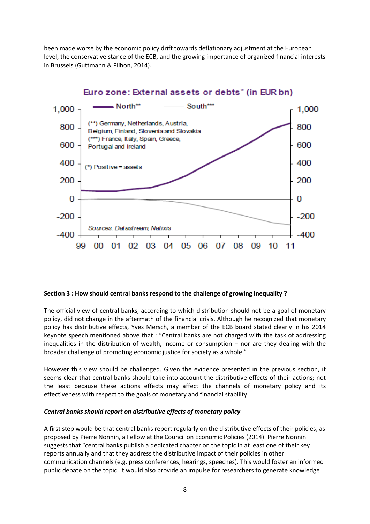been made worse by the economic policy drift towards deflationary adjustment at the European level, the conservative stance of the ECB, and the growing importance of organized financial interests in Brussels (Guttmann & Plihon, 2014).



## Euro zone: External assets or debts\* (in EUR bn)

#### **Section 3 : How should central banks respond to the challenge of growing inequality ?**

The official view of central banks, according to which distribution should not be a goal of monetary policy, did not change in the aftermath of the financial crisis. Although he recognized that monetary policy has distributive effects, Yves Mersch, a member of the ECB board stated clearly in his 2014 keynote speech mentioned above that : "Central banks are not charged with the task of addressing inequalities in the distribution of wealth, income or consumption – nor are they dealing with the broader challenge of promoting economic justice for society as a whole."

However this view should be challenged. Given the evidence presented in the previous section, it seems clear that central banks should take into account the distributive effects of their actions; not the least because these actions effects may affect the channels of monetary policy and its effectiveness with respect to the goals of monetary and financial stability.

## *Central banks should report on distributive effects of monetary policy*

A first step would be that central banks report regularly on the distributive effects of their policies, as proposed by Pierre Nonnin, a Fellow at the Council on Economic Policies (2014). Pierre Nonnin suggests that "central banks publish a dedicated chapter on the topic in at least one of their key reports annually and that they address the distributive impact of their policies in other communication channels (e.g. press conferences, hearings, speeches). This would foster an informed public debate on the topic. It would also provide an impulse for researchers to generate knowledge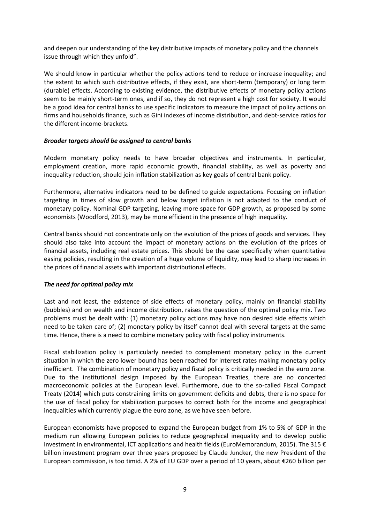and deepen our understanding of the key distributive impacts of monetary policy and the channels issue through which they unfold".

We should know in particular whether the policy actions tend to reduce or increase inequality; and the extent to which such distributive effects, if they exist, are short-term (temporary) or long term (durable) effects. According to existing evidence, the distributive effects of monetary policy actions seem to be mainly short-term ones, and if so, they do not represent a high cost for society. It would be a good idea for central banks to use specific indicators to measure the impact of policy actions on firms and households finance, such as Gini indexes of income distribution, and debt-service ratios for the different income-brackets.

#### *Broader targets should be assigned to central banks*

Modern monetary policy needs to have broader objectives and instruments. In particular, employment creation, more rapid economic growth, financial stability, as well as poverty and inequality reduction, should join inflation stabilization as key goals of central bank policy.

Furthermore, alternative indicators need to be defined to guide expectations. Focusing on inflation targeting in times of slow growth and below target inflation is not adapted to the conduct of monetary policy. Nominal GDP targeting, leaving more space for GDP growth, as proposed by some economists (Woodford, 2013), may be more efficient in the presence of high inequality.

Central banks should not concentrate only on the evolution of the prices of goods and services. They should also take into account the impact of monetary actions on the evolution of the prices of financial assets, including real estate prices. This should be the case specifically when quantitative easing policies, resulting in the creation of a huge volume of liquidity, may lead to sharp increases in the prices of financial assets with important distributional effects.

## *The need for optimal policy mix*

Last and not least, the existence of side effects of monetary policy, mainly on financial stability (bubbles) and on wealth and income distribution, raises the question of the optimal policy mix. Two problems must be dealt with: (1) monetary policy actions may have non desired side effects which need to be taken care of; (2) monetary policy by itself cannot deal with several targets at the same time. Hence, there is a need to combine monetary policy with fiscal policy instruments.

Fiscal stabilization policy is particularly needed to complement monetary policy in the current situation in which the zero lower bound has been reached for interest rates making monetary policy inefficient. The combination of monetary policy and fiscal policy is critically needed in the euro zone. Due to the institutional design imposed by the European Treaties, there are no concerted macroeconomic policies at the European level. Furthermore, due to the so-called Fiscal Compact Treaty (2014) which puts constraining limits on government deficits and debts, there is no space for the use of fiscal policy for stabilization purposes to correct both for the income and geographical inequalities which currently plague the euro zone, as we have seen before.

European economists have proposed to expand the European budget from 1% to 5% of GDP in the medium run allowing European policies to reduce geographical inequality and to develop public investment in environmental, ICT applications and health fields (EuroMemorandum, 2015). The 315 € billion investment program over three years proposed by Claude Juncker, the new President of the European commission, is too timid. A 2% of EU GDP over a period of 10 years, about €260 billion per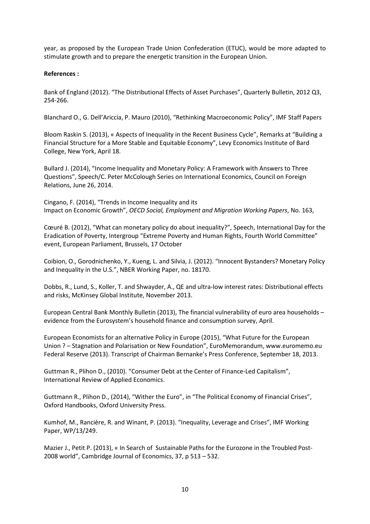year, as proposed by the European Trade Union Confederation (ETUC), would be more adapted to stimulate growth and to prepare the energetic transition in the European Union.

#### **References :**

Bank of England (2012). "The Distributional Effects of Asset Purchases", Quarterly Bulletin, 2012 Q3, 254-266.

Blanchard O., G. Dell'Ariccia, P. Mauro (2010), "Rethinking Macroeconomic Policy", IMF Staff Papers

Bloom Raskin S. (2013), « Aspects of Inequality in the Recent Business Cycle", Remarks at "Building a Financial Structure for a More Stable and Equitable Economy", Levy Economics Institute of Bard College, New York, April 18.

Bullard J. (2014), "Income Inequality and Monetary Policy: A Framework with Answers to Three Questions", Speech/C. Peter McColough Series on International Economics, Council on Foreign Relations, June 26, 2014.

Cingano, F. (2014), "Trends in Income Inequality and its Impact on Economic Growth", *OECD Social, Employment and Migration Working Papers*, No. 163,

Cœuré B. (2012), "What can monetary policy do about inequality?", Speech, International Day for the Eradication of Poverty, Intergroup "Extreme Poverty and Human Rights, Fourth World Committee" event, European Parliament, Brussels, 17 October

Coibion, O., Gorodnichenko, Y., Kueng, L. and Silvia, J. (2012). "Innocent Bystanders? Monetary Policy and Inequality in the U.S.", NBER Working Paper, no. 18170.

Dobbs, R., Lund, S., Koller, T. and Shwayder, A., QE and ultra-low interest rates: Distributional effects and risks, McKinsey Global Institute, November 2013.

European Central Bank Monthly Bulletin (2013), The financial vulnerability of euro area households – evidence from the Eurosystem's household finance and consumption survey, April.

European Economists for an alternative Policy in Europe (2015), "What Future for the European Union ? – Stagnation and Polarisation or New Foundation", EuroMemorandum, www.euromemo.eu Federal Reserve (2013). Transcript of Chairman Bernanke's Press Conference, September 18, 2013.

Guttman R., Plihon D., (2010). "Consumer Debt at the Center of Finance-Led Capitalism", International Review of Applied Economics.

Guttmann R., Plihon D., (2014), "Wither the Euro", in "The Political Economy of Financial Crises", Oxford Handbooks, Oxford University Press.

Kumhof, M., Rancière, R. and Winant, P. (2013). "Inequality, Leverage and Crises", IMF Working Paper, WP/13/249.

Mazier J., Petit P. (2013), « In Search of Sustainable Paths for the Eurozone in the Troubled Post-2008 world", Cambridge Journal of Economics, 37, p 513 – 532.